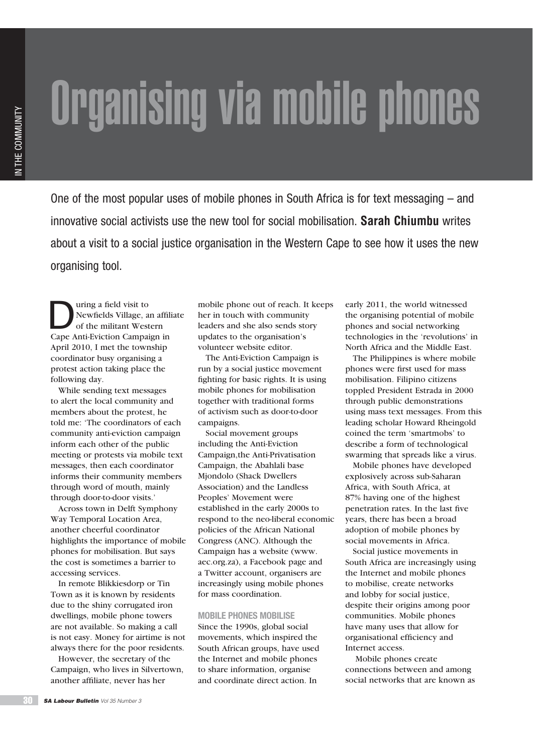# Organising via mobile phones

One of the most popular uses of mobile phones in South Africa is for text messaging – and innovative social activists use the new tool for social mobilisation. **Sarah Chiumbu** writes about a visit to a social justice organisation in the Western Cape to see how it uses the new organising tool.

The United States of the militant West Contract Contract Contract Contract Oriente Contract Oriente Contract Oriente Contract Oriente Contract Oriente Contract Oriente Contract Oriente Contract Oriente Contract Oriente Con Newfields Village, an affiliate of the militant Western Cape Anti-Eviction Campaign in April 2010, I met the township coordinator busy organising a protest action taking place the following day.

While sending text messages to alert the local community and members about the protest, he told me: 'The coordinators of each community anti-eviction campaign inform each other of the public meeting or protests via mobile text messages, then each coordinator informs their community members through word of mouth, mainly through door-to-door visits.'

Across town in Delft Symphony Way Temporal Location Area, another cheerful coordinator highlights the importance of mobile phones for mobilisation. But says the cost is sometimes a barrier to accessing services.

In remote Blikkiesdorp or Tin Town as it is known by residents due to the shiny corrugated iron dwellings, mobile phone towers are not available. So making a call is not easy. Money for airtime is not always there for the poor residents.

However, the secretary of the Campaign, who lives in Silvertown, another affiliate, never has her

mobile phone out of reach. It keeps her in touch with community leaders and she also sends story updates to the organisation's volunteer website editor.

The Anti-Eviction Campaign is run by a social justice movement fighting for basic rights. It is using mobile phones for mobilisation together with traditional forms of activism such as door-to-door campaigns.

Social movement groups including the Anti-Eviction Campaign,the Anti-Privatisation Campaign, the Abahlali base Mjondolo (Shack Dwellers Association) and the Landless Peoples' Movement were established in the early 2000s to respond to the neo-liberal economic policies of the African National Congress (ANC). Although the Campaign has a website (www. aec.org.za), a Facebook page and a Twitter account, organisers are increasingly using mobile phones for mass coordination.

# **MOBILE PHONES MOBILISE**

Since the 1990s, global social movements, which inspired the South African groups, have used the Internet and mobile phones to share information, organise and coordinate direct action. In

early 2011, the world witnessed the organising potential of mobile phones and social networking technologies in the 'revolutions' in North Africa and the Middle East.

The Philippines is where mobile phones were first used for mass mobilisation. Filipino citizens toppled President Estrada in 2000 through public demonstrations using mass text messages. From this leading scholar Howard Rheingold coined the term 'smartmobs' to describe a form of technological swarming that spreads like a virus.

Mobile phones have developed explosively across sub-Saharan Africa, with South Africa, at 87% having one of the highest penetration rates. In the last five years, there has been a broad adoption of mobile phones by social movements in Africa.

Social justice movements in South Africa are increasingly using the Internet and mobile phones to mobilise, create networks and lobby for social justice, despite their origins among poor communities. Mobile phones have many uses that allow for organisational efficiency and Internet access.

 Mobile phones create connections between and among social networks that are known as